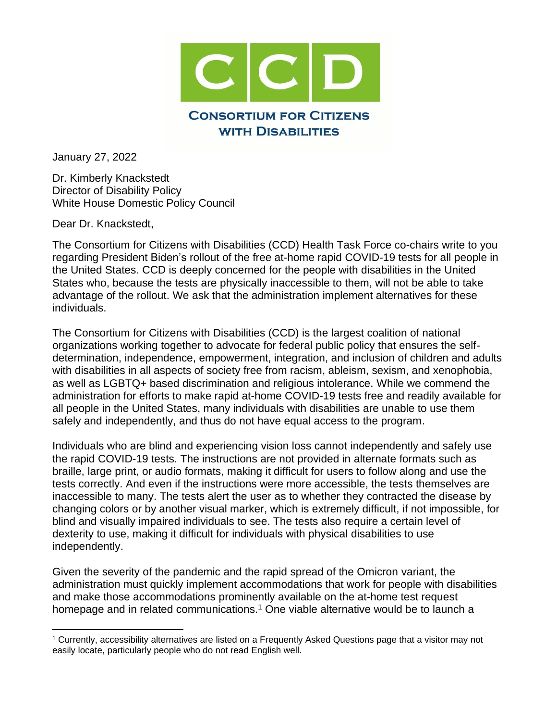

January 27, 2022

Dr. Kimberly Knackstedt Director of Disability Policy White House Domestic Policy Council

Dear Dr. Knackstedt,

The Consortium for Citizens with Disabilities (CCD) Health Task Force co-chairs write to you regarding President Biden's rollout of the free at-home rapid COVID-19 tests for all people in the United States. CCD is deeply concerned for the people with disabilities in the United States who, because the tests are physically inaccessible to them, will not be able to take advantage of the rollout. We ask that the administration implement alternatives for these individuals.

The Consortium for Citizens with Disabilities (CCD) is the largest coalition of national organizations working together to advocate for federal public policy that ensures the selfdetermination, independence, empowerment, integration, and inclusion of children and adults with disabilities in all aspects of society free from racism, ableism, sexism, and xenophobia, as well as LGBTQ+ based discrimination and religious intolerance. While we commend the administration for efforts to make rapid at-home COVID-19 tests free and readily available for all people in the United States, many individuals with disabilities are unable to use them safely and independently, and thus do not have equal access to the program.

Individuals who are blind and experiencing vision loss cannot independently and safely use the rapid COVID-19 tests. The instructions are not provided in alternate formats such as braille, large print, or audio formats, making it difficult for users to follow along and use the tests correctly. And even if the instructions were more accessible, the tests themselves are inaccessible to many. The tests alert the user as to whether they contracted the disease by changing colors or by another visual marker, which is extremely difficult, if not impossible, for blind and visually impaired individuals to see. The tests also require a certain level of dexterity to use, making it difficult for individuals with physical disabilities to use independently.

Given the severity of the pandemic and the rapid spread of the Omicron variant, the administration must quickly implement accommodations that work for people with disabilities and make those accommodations prominently available on the at-home test request homepage and in related communications.<sup>1</sup> One viable alternative would be to launch a

<sup>1</sup> Currently, accessibility alternatives are listed on a Frequently Asked Questions page that a visitor may not easily locate, particularly people who do not read English well.